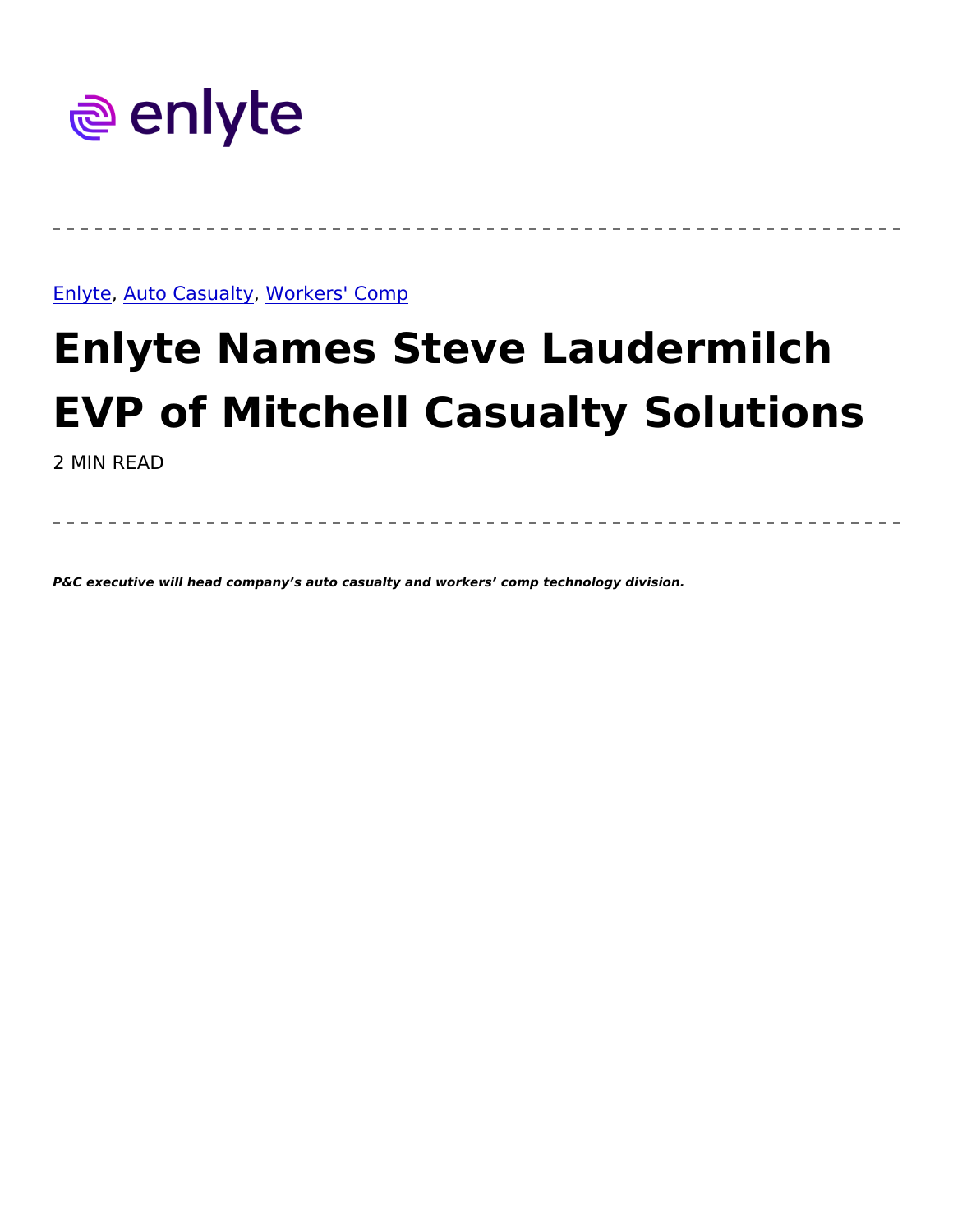## Enlyte uto Casu, a Wtgrkers' Comp

## Enlyte Names Steve Laudermil EVP of Mitchell Casualty Solu 2 MIN READ

P&C executive will head company s auto casualty and workers comp technology division.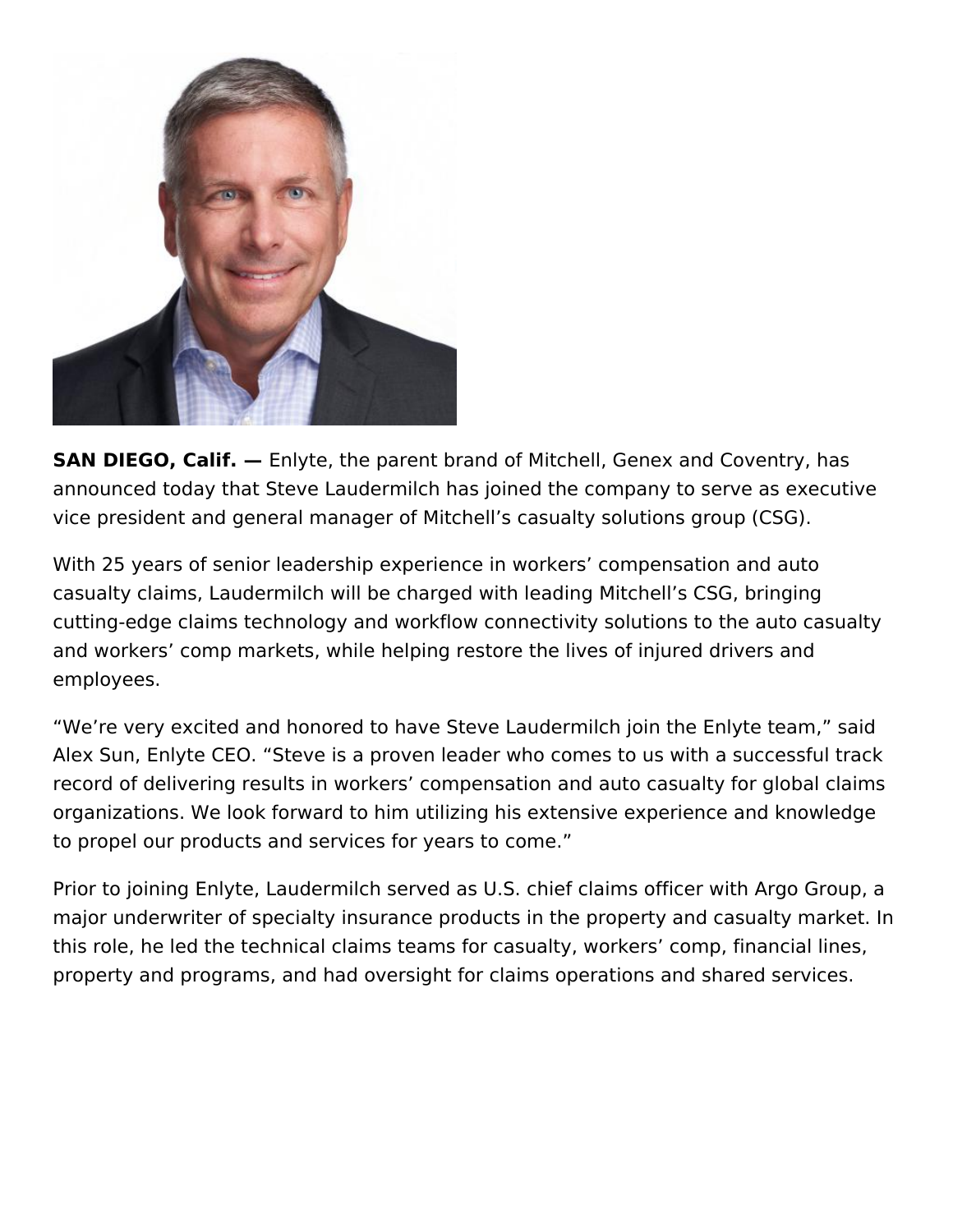

**SAN DIEGO, Calif.** — Enlyte, the parent brand of Mitchell, Genex and Coventry, has announced today that Steve Laudermilch has joined the company to serve as executive vice president and general manager of Mitchell's casualty solutions group (CSG).

With 25 years of senior leadership experience in workers' compensation and auto casualty claims, Laudermilch will be charged with leading Mitchell's CSG, bringing cutting-edge claims technology and workflow connectivity solutions to the auto casualty and workers' comp markets, while helping restore the lives of injured drivers and employees.

"We're very excited and honored to have Steve Laudermilch join the Enlyte team," said Alex Sun, Enlyte CEO. "Steve is a proven leader who comes to us with a successful track record of delivering results in workers' compensation and auto casualty for global claims organizations. We look forward to him utilizing his extensive experience and knowledge to propel our products and services for years to come."

Prior to joining Enlyte, Laudermilch served as U.S. chief claims officer with Argo Group, a major underwriter of specialty insurance products in the property and casualty market. In this role, he led the technical claims teams for casualty, workers' comp, financial lines, property and programs, and had oversight for claims operations and shared services.